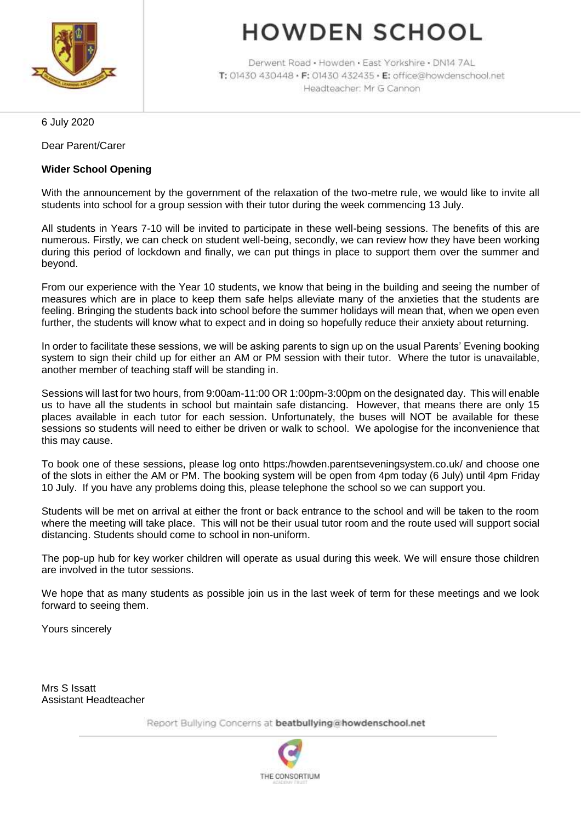

# **HOWDEN SCHOOL**

Derwent Road · Howden · East Yorkshire · DN14 7AL T: 01430 430448 · F: 01430 432435 · E: office@howdenschool.net Headteacher: Mr G Cannon

6 July 2020

Dear Parent/Carer

#### **Wider School Opening**

With the announcement by the government of the relaxation of the two-metre rule, we would like to invite all students into school for a group session with their tutor during the week commencing 13 July.

All students in Years 7-10 will be invited to participate in these well-being sessions. The benefits of this are numerous. Firstly, we can check on student well-being, secondly, we can review how they have been working during this period of lockdown and finally, we can put things in place to support them over the summer and beyond.

From our experience with the Year 10 students, we know that being in the building and seeing the number of measures which are in place to keep them safe helps alleviate many of the anxieties that the students are feeling. Bringing the students back into school before the summer holidays will mean that, when we open even further, the students will know what to expect and in doing so hopefully reduce their anxiety about returning.

In order to facilitate these sessions, we will be asking parents to sign up on the usual Parents' Evening booking system to sign their child up for either an AM or PM session with their tutor. Where the tutor is unavailable, another member of teaching staff will be standing in.

Sessions will last for two hours, from 9:00am-11:00 OR 1:00pm-3:00pm on the designated day. This will enable us to have all the students in school but maintain safe distancing. However, that means there are only 15 places available in each tutor for each session. Unfortunately, the buses will NOT be available for these sessions so students will need to either be driven or walk to school. We apologise for the inconvenience that this may cause.

To book one of these sessions, please log onto https:/howden.parentseveningsystem.co.uk/ and choose one of the slots in either the AM or PM. The booking system will be open from 4pm today (6 July) until 4pm Friday 10 July. If you have any problems doing this, please telephone the school so we can support you.

Students will be met on arrival at either the front or back entrance to the school and will be taken to the room where the meeting will take place. This will not be their usual tutor room and the route used will support social distancing. Students should come to school in non-uniform.

The pop-up hub for key worker children will operate as usual during this week. We will ensure those children are involved in the tutor sessions.

We hope that as many students as possible join us in the last week of term for these meetings and we look forward to seeing them.

Yours sincerely

Mrs S Issatt Assistant Headteacher

Report Bullying Concerns at beatbullying@howdenschool.net